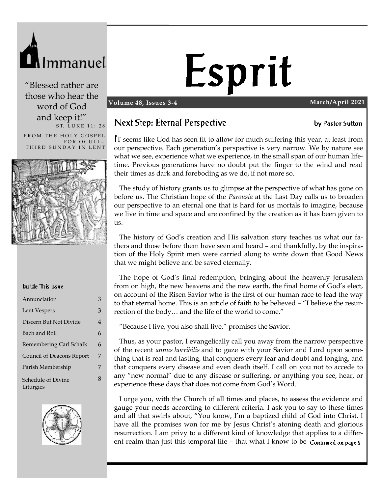

"Blessed rather are those who hear the word of God and keep it!" ST. LUKE 11: 28

FROM THE HOLY GOSPEL FOR OCULI-THIRD SUNDAY IN LENT



#### Inside This Issue

| Annunciation                     | 3 |
|----------------------------------|---|
| Lent Vespers                     | 3 |
| Discern But Not Divide           | 4 |
| Bach and Roll                    | 6 |
| Remembering Carl Schalk          | 6 |
| <b>Council of Deacons Report</b> | 7 |
| Parish Membership                | 7 |
| Schedule of Divine<br>Liturgies  | 8 |



# Esprit

#### **Volume 48, Issues 3-4 March/April 2021**

by Pastor Sutton

#### Next Step: Eternal Perspective

T seems like God has seen fit to allow for much suffering this year, at least from our perspective. Each generation's perspective is very narrow. We by nature see what we see, experience what we experience, in the small span of our human lifetime. Previous generations have no doubt put the finger to the wind and read their times as dark and foreboding as we do, if not more so.

 The study of history grants us to glimpse at the perspective of what has gone on before us. The Christian hope of the *Parousia* at the Last Day calls us to broaden our perspective to an eternal one that is hard for us mortals to imagine, because we live in time and space and are confined by the creation as it has been given to us.

 The history of God's creation and His salvation story teaches us what our fathers and those before them have seen and heard – and thankfully, by the inspiration of the Holy Spirit men were carried along to write down that Good News that we might believe and be saved eternally.

 The hope of God's final redemption, bringing about the heavenly Jerusalem from on high, the new heavens and the new earth, the final home of God's elect, on account of the Risen Savior who is the first of our human race to lead the way to that eternal home. This is an article of faith to be believed – "I believe the resurrection of the body… and the life of the world to come."

"Because I live, you also shall live," promises the Savior.

 Thus, as your pastor, I evangelically call you away from the narrow perspective of the recent *annus horribilis* and to gaze with your Savior and Lord upon something that is real and lasting, that conquers every fear and doubt and longing, and that conquers every disease and even death itself. I call on you not to accede to any "new normal" due to any disease or suffering, or anything you see, hear, or experience these days that does not come from God's Word.

 I urge you, with the Church of all times and places, to assess the evidence and gauge your needs according to different criteria. I ask you to say to these times and all that swirls about, "You know, I'm a baptized child of God into Christ. I have all the promises won for me by Jesus Christ's atoning death and glorious resurrection. I am privy to a different kind of knowledge that applies to a different realm than just this temporal life - that what I know to be Continued on page 2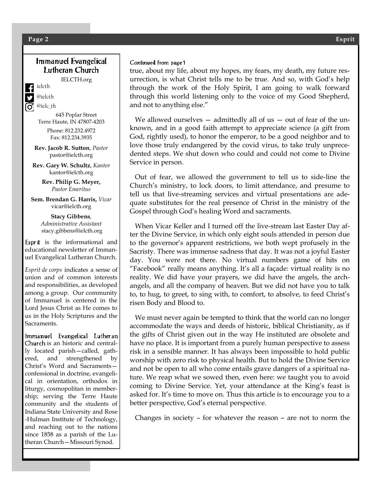#### Immanuel Evangelical Lutheran Church

IELCTH.org

ielcth

@ielcth @ielc\_th

645 Poplar Street Terre Haute, IN 47807-4203

> Phone: 812.232.4972 Fax: 812.234.3935

**Rev. Jacob R. Sutton**, *Pastor* pastor@ielcth.org

**Rev. Gary W. Schultz**, *Kantor* kantor@ielcth.org

> **Rev. Philip G. Meyer,** *Pastor Emeritus*

**Sem. Brendan G. Harris,** *Vicar* vicar@ielcth.org

> **Stacy Gibbens***, Administrative Assistant* stacy.gibbens@ielcth.org

Esprit is the informational and educational newsletter of Immanuel Evangelical Lutheran Church.

*Esprit de corps* indicates a sense of union and of common interests and responsibilities, as developed among a group. Our community of Immanuel is centered in the Lord Jesus Christ as He comes to us in the Holy Scriptures and the Sacraments.

Immanuel Evangelical Lutheran Church is an historic and centrally located parish—called, gathered, and strengthened by Christ's Word and Sacraments confessional in doctrine, evangelical in orientation, orthodox in liturgy, cosmopolitan in membership; serving the Terre Haute community and the students of Indiana State University and Rose -Hulman Institute of Technology, and reaching out to the nations since 1858 as a parish of the Lutheran Church—Missouri Synod.

#### Continued from page 1

true, about my life, about my hopes, my fears, my death, my future resurrection, is what Christ tells me to be true. And so, with God's help through the work of the Holy Spirit, I am going to walk forward through this world listening only to the voice of my Good Shepherd, and not to anything else."

We allowed ourselves  $-$  admittedly all of us  $-$  out of fear of the unknown, and in a good faith attempt to appreciate science (a gift from God, rightly used), to honor the emperor, to be a good neighbor and to love those truly endangered by the covid virus, to take truly unprecedented steps. We shut down who could and could not come to Divine Service in person.

 Out of fear, we allowed the government to tell us to side-line the Church's ministry, to lock doors, to limit attendance, and presume to tell us that live-streaming services and virtual presentations are adequate substitutes for the real presence of Christ in the ministry of the Gospel through God's healing Word and sacraments.

 When Vicar Keller and I turned off the live-stream last Easter Day after the Divine Service, in which only eight souls attended in person due to the governor's apparent restrictions, we both wept profusely in the Sacristy. There was immense sadness that day. It was not a joyful Easter day. You were not there. No virtual numbers game of hits on "Facebook" really means anything. It's all a façade: virtual reality is no reality. We did have your prayers, we did have the angels, the archangels, and all the company of heaven. But we did not have you to talk to, to hug, to greet, to sing with, to comfort, to absolve, to feed Christ's risen Body and Blood to.

 We must never again be tempted to think that the world can no longer accommodate the ways and deeds of historic, biblical Christianity, as if the gifts of Christ given out in the way He instituted are obsolete and have no place. It is important from a purely human perspective to assess risk in a sensible manner. It has always been impossible to hold public worship with zero risk to physical health. But to hold the Divine Service and not be open to all who come entails grave dangers of a spiritual nature. We reap what we sowed then, even here: we taught you to avoid coming to Divine Service. Yet, your attendance at the King's feast is asked for. It's time to move on. Thus this article is to encourage you to a better perspective, God's eternal perspective.

Changes in society – for whatever the reason – are not to norm the

#### **Page 2 Esprit**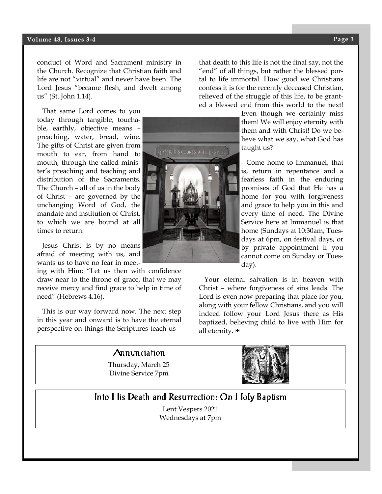#### **Volume 48, Issues 3-4 Page 3**

conduct of Word and Sacrament ministry in the Church. Recognize that Christian faith and life are not "virtual" and never have been. The Lord Jesus "became flesh, and dwelt among us" (St. John 1.14).

 That same Lord comes to you today through tangible, touchable, earthly, objective means – preaching, water, bread, wine. The gifts of Christ are given from mouth to ear, from hand to mouth, through the called minister's preaching and teaching and distribution of the Sacraments. The Church – all of us in the body of Christ – are governed by the unchanging Word of God, the mandate and institution of Christ, to which we are bound at all times to return.

 Jesus Christ is by no means afraid of meeting with us, and wants us to have no fear in meet-

ing with Him: "Let us then with confidence draw near to the throne of grace, that we may receive mercy and find grace to help in time of need" (Hebrews 4.16).

 This is our way forward now. The next step in this year and onward is to have the eternal perspective on things the Scriptures teach us –

that death to this life is not the final say, not the "end" of all things, but rather the blessed portal to life immortal. How good we Christians confess it is for the recently deceased Christian, relieved of the struggle of this life, to be granted a blessed end from this world to the next!

> Even though we certainly miss them! We will enjoy eternity with them and with Christ! Do we believe what we say, what God has taught us?

> Come home to Immanuel, that is, return in repentance and a fearless faith in the enduring promises of God that He has a home for you with forgiveness and grace to help you in this and every time of need. The Divine Service here at Immanuel is that home (Sundays at 10:30am, Tuesdays at 6pm, on festival days, or by private appointment if you cannot come on Sunday or Tuesday).

 Your eternal salvation is in heaven with Christ – where forgiveness of sins leads. The Lord is even now preparing that place for you, along with your fellow Christians, and you will indeed follow your Lord Jesus there as His baptized, believing child to live with Him for all eternity. <sub>®</sub>

## Into His Death and Resurrection: On Holy Baptism

Thursday, March 25 Divine Service 7pm

Annunciation

Lent Vespers 2021 Wednesdays at 7pm



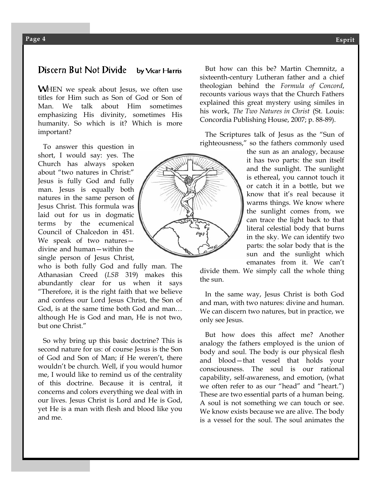#### Discern But Not Divide by Vicar Harris

**WHEN** we speak about Jesus, we often use titles for Him such as Son of God or Son of Man. We talk about Him sometimes emphasizing His divinity, sometimes His humanity. So which is it? Which is more important?

 To answer this question in short, I would say: yes. The Church has always spoken about "two natures in Christ:" Jesus is fully God and fully man. Jesus is equally both natures in the same person of Jesus Christ. This formula was laid out for us in dogmatic terms by the ecumenical Council of Chalcedon in 451. We speak of two natures divine and human—within the single person of Jesus Christ,

who is both fully God and fully man. The Athanasian Creed (*LSB* 319) makes this abundantly clear for us when it says "Therefore, it is the right faith that we believe and confess our Lord Jesus Christ, the Son of God, is at the same time both God and man… although He is God and man, He is not two, but one Christ."

 So why bring up this basic doctrine? This is second nature for us: of course Jesus is the Son of God and Son of Man; if He weren't, there wouldn't be church. Well, if you would humor me, I would like to remind us of the centrality of this doctrine. Because it is central, it concerns and colors everything we deal with in our lives. Jesus Christ is Lord and He is God, yet He is a man with flesh and blood like you and me.

 But how can this be? Martin Chemnitz, a sixteenth-century Lutheran father and a chief theologian behind the *Formula of Concord*, recounts various ways that the Church Fathers explained this great mystery using similes in his work, *The Two Natures in Christ* (St. Louis: Concordia Publishing House, 2007; p. 88-89).

 The Scriptures talk of Jesus as the "Sun of righteousness," so the fathers commonly used

> the sun as an analogy, because it has two parts: the sun itself and the sunlight. The sunlight is ethereal, you cannot touch it or catch it in a bottle, but we know that it's real because it warms things. We know where the sunlight comes from, we can trace the light back to that literal celestial body that burns in the sky. We can identify two parts: the solar body that is the sun and the sunlight which emanates from it. We can't

divide them. We simply call the whole thing the sun.

 In the same way, Jesus Christ is both God and man, with two natures: divine and human. We can discern two natures, but in practice, we only see Jesus.

 But how does this affect me? Another analogy the fathers employed is the union of body and soul. The body is our physical flesh and blood—that vessel that holds your consciousness. The soul is our rational capability, self-awareness, and emotion, (what we often refer to as our "head" and "heart.") These are two essential parts of a human being. A soul is not something we can touch or see. We know exists because we are alive. The body is a vessel for the soul. The soul animates the

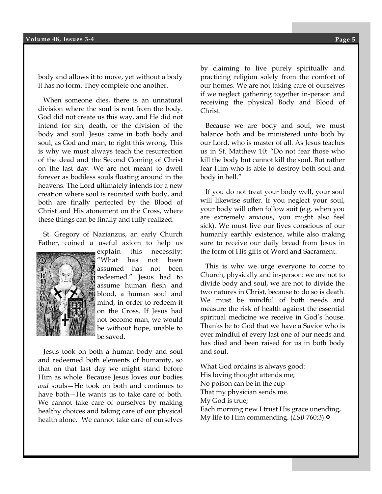body and allows it to move, yet without a body it has no form. They complete one another.

 When someone dies, there is an unnatural division where the soul is rent from the body. God did not create us this way, and He did not intend for sin, death, or the division of the body and soul. Jesus came in both body and soul, as God and man, to right this wrong. This is why we must always teach the resurrection of the dead and the Second Coming of Christ on the last day. We are not meant to dwell forever as bodiless souls floating around in the heavens. The Lord ultimately intends for a new creation where soul is reunited with body, and both are finally perfected by the Blood of Christ and His atonement on the Cross, where these things can be finally and fully realized.

 St. Gregory of Nazianzus, an early Church Father, coined a useful axiom to help us



explain this necessity: "What has not been assumed has not been redeemed." Jesus had to assume human flesh and blood, a human soul and mind, in order to redeem it on the Cross. If Jesus had not become man, we would be without hope, unable to be saved.

 Jesus took on both a human body and soul and redeemed both elements of humanity, so that on that last day we might stand before Him as whole. Because Jesus loves our bodies *and* souls—He took on both and continues to have both—He wants us to take care of both. We cannot take care of ourselves by making healthy choices and taking care of our physical health alone. We cannot take care of ourselves

**Esprit** our homes. We are not taking care of ourselves by claiming to live purely spiritually and practicing religion solely from the comfort of if we neglect gathering together in-person and receiving the physical Body and Blood of Christ.

 Because we are body and soul, we must balance both and be ministered unto both by our Lord, who is master of all. As Jesus teaches us in St. Matthew 10: "Do not fear those who kill the body but cannot kill the soul. But rather fear Him who is able to destroy both soul and body in hell."

 If you do not treat your body well, your soul will likewise suffer. If you neglect your soul, your body will often follow suit (e.g. when you are extremely anxious, you might also feel sick). We must live our lives conscious of our humanly earthly existence, while also making sure to receive our daily bread from Jesus in the form of His gifts of Word and Sacrament.

 This is why we urge everyone to come to Church, physically and in-person: we are not to divide body and soul, we are not to divide the two natures in Christ, because to do so is death. We must be mindful of both needs and measure the risk of health against the essential spiritual medicine we receive in God's house. Thanks be to God that we have a Savior who is ever mindful of every last one of our needs and has died and been raised for us in both body and soul.

What God ordains is always good: His loving thought attends me; No poison can be in the cup That my physician sends me. My God is true; Each morning new I trust His grace unending, My life to Him commending. (*LSB* 760:3)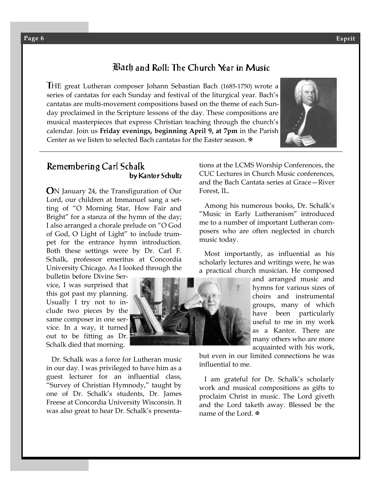#### Bath and Roll: The Church Year in Music

HE great Lutheran composer Johann Sebastian Bach (1685-1750) wrote a series of cantatas for each Sunday and festival of the liturgical year. Bach's cantatas are multi-movement compositions based on the theme of each Sunday proclaimed in the Scripture lessons of the day. These compositions are musical masterpieces that express Christian teaching through the church's calendar. Join us **Friday evenings, beginning April 9, at 7pm** in the Parish Center as we listen to selected Bach cantatas for the Easter season.  $\Phi$ 



#### Remembering Carl Schalk by Kantor Schultz

N January 24, the Transfiguration of Our Lord, our children at Immanuel sang a setting of "O Morning Star, How Fair and Bright" for a stanza of the hymn of the day; I also arranged a chorale prelude on "O God of God, O Light of Light" to include trumpet for the entrance hymn introduction. Both these settings were by Dr. Carl F. Schalk, professor emeritus at Concordia University Chicago. As I looked through the

bulletin before Divine Service, I was surprised that this got past my planning. Usually I try not to include two pieces by the same composer in one service. In a way, it turned out to be fitting as Dr. Schalk died that morning.

 Dr. Schalk was a force for Lutheran music in our day. I was privileged to have him as a guest lecturer for an influential class, "Survey of Christian Hymnody," taught by one of Dr. Schalk's students, Dr. James Freese at Concordia University Wisconsin. It was also great to hear Dr. Schalk's presenta-



tions at the LCMS Worship Conferences, the CUC Lectures in Church Music conferences, and the Bach Cantata series at Grace—River Forest, IL.

 Among his numerous books, Dr. Schalk's "Music in Early Lutheranism" introduced me to a number of important Lutheran composers who are often neglected in church music today.

 Most importantly, as influential as his scholarly lectures and writings were, he was a practical church musician. He composed

> and arranged music and hymns for various sizes of choirs and instrumental groups, many of which have been particularly useful to me in my work as a Kantor. There are many others who are more acquainted with his work,

but even in our limited connections he was influential to me.

 I am grateful for Dr. Schalk's scholarly work and musical compositions as gifts to proclaim Christ in music. The Lord giveth and the Lord taketh away. Blessed be the name of the Lord.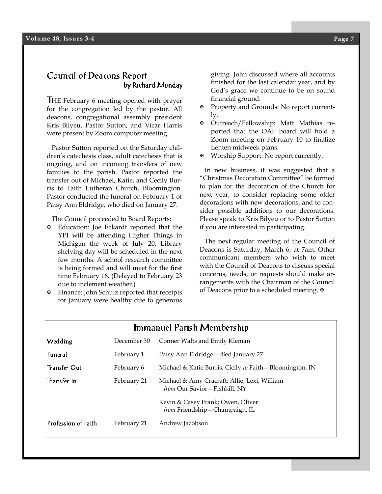#### Council of Deacons Report by Richard Monday

HE February 6 meeting opened with prayer for the congregation led by the pastor. All deacons, congregational assembly president Kris Bilyeu, Pastor Sutton, and Vicar Harris were present by Zoom computer meeting.

 Pastor Sutton reported on the Saturday children's catechesis class, adult catechesis that is ongoing, and on incoming transfers of new families to the parish. Pastor reported the transfer out of Michael, Katie, and Cecily Burris to Faith Lutheran Church, Bloomington. Pastor conducted the funeral on February 1 of Patsy Ann Eldridge, who died on January 27.

The Council proceeded to Board Reports:

- Education: Joe Eckardt reported that the YPI will be attending Higher Things in Michigan the week of July 20. Library shelving day will be scheduled in the next few months. A school research committee is being formed and will meet for the first time February 16. (Delayed to February 23 due to inclement weather.)
- Finance: John Schulz reported that receipts for January were healthy due to generous

giving. John discussed where all accounts finished for the last calendar year, and by God's grace we continue to be on sound financial ground.

- Property and Grounds: No report currently.
- Outreach/Fellowship: Matt Mathias reported that the OAF board will hold a Zoom meeting on February 10 to finalize Lenten midweek plans.
- Worship Support: No report currently.

 In new business, it was suggested that a "Christmas Decoration Committee" be formed to plan for the decoration of the Church for next year, to consider replacing some older decorations with new decorations, and to consider possible additions to our decorations. Please speak to Kris Bilyeu or to Pastor Sutton if you are interested in participating.

 The next regular meeting of the Council of Deacons is Saturday, March 6, at 7am. Other communicant members who wish to meet with the Council of Deacons to discuss special concerns, needs, or requests should make arrangements with the Chairman of the Council of Deacons prior to a scheduled meeting. ₩

| Immanuel Parish Membership |             |                                                                              |  |  |
|----------------------------|-------------|------------------------------------------------------------------------------|--|--|
| Wedding                    | December 30 | Conner Walts and Emily Kleman                                                |  |  |
| <b>Funeral</b>             | February 1  | Patsy Ann Eldridge - died January 27                                         |  |  |
| Transfer Out               | February 6  | Michael & Katie Burris; Cicily to Faith - Bloomington, IN                    |  |  |
| Transfer In                | February 21 | Michael & Amy Cracraft; Allie, Lexi, William<br>from Our Savior-Fishkill, NY |  |  |
|                            |             | Kevin & Casey Frank; Owen, Oliver<br>from Friendship - Champaign, IL         |  |  |
| Profession of Faith        | February 21 | Andrew Jacobson                                                              |  |  |